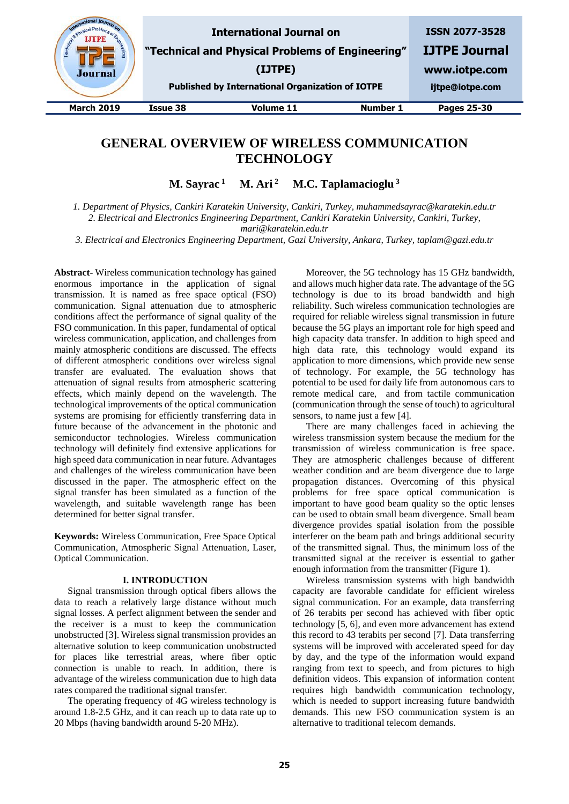

# **GENERAL OVERVIEW OF WIRELESS COMMUNICATION TECHNOLOGY**

**M. Sayrac 1 M. Ari 2 M.C. Taplamacioglu <sup>3</sup>**

*1. Department of Physics, Cankiri Karatekin University, Cankiri, Turkey, muhammedsayrac@karatekin.edu.tr 2. Electrical and Electronics Engineering Department, Cankiri Karatekin University, Cankiri, Turkey, mari@karatekin.edu.tr*

*3. Electrical and Electronics Engineering Department, Gazi University, Ankara, Turkey, taplam@gazi.edu.tr*

**Abstract-** Wireless communication technology has gained enormous importance in the application of signal transmission. It is named as free space optical (FSO) communication. Signal attenuation due to atmospheric conditions affect the performance of signal quality of the FSO communication. In this paper, fundamental of optical wireless communication, application, and challenges from mainly atmospheric conditions are discussed. The effects of different atmospheric conditions over wireless signal transfer are evaluated. The evaluation shows that attenuation of signal results from atmospheric scattering effects, which mainly depend on the wavelength. The technological improvements of the optical communication systems are promising for efficiently transferring data in future because of the advancement in the photonic and semiconductor technologies. Wireless communication technology will definitely find extensive applications for high speed data communication in near future. Advantages and challenges of the wireless communication have been discussed in the paper. The atmospheric effect on the signal transfer has been simulated as a function of the wavelength, and suitable wavelength range has been determined for better signal transfer.

**Keywords:** Wireless Communication, Free Space Optical Communication, Atmospheric Signal Attenuation, Laser, Optical Communication.

## **I. INTRODUCTION**

Signal transmission through optical fibers allows the data to reach a relatively large distance without much signal losses. A perfect alignment between the sender and the receiver is a must to keep the communication unobstructed [3]. Wireless signal transmission provides an alternative solution to keep communication unobstructed for places like terrestrial areas, where fiber optic connection is unable to reach. In addition, there is advantage of the wireless communication due to high data rates compared the traditional signal transfer.

The operating frequency of 4G wireless technology is around 1.8-2.5 GHz, and it can reach up to data rate up to 20 Mbps (having bandwidth around 5-20 MHz).

Moreover, the 5G technology has 15 GHz bandwidth, and allows much higher data rate. The advantage of the 5G technology is due to its broad bandwidth and high reliability. Such wireless communication technologies are required for reliable wireless signal transmission in future because the 5G plays an important role for high speed and high capacity data transfer. In addition to high speed and high data rate, this technology would expand its application to more dimensions, which provide new sense of technology. For example, the 5G technology has potential to be used for daily life from autonomous cars to remote medical care, and from tactile communication (communication through the sense of touch) to agricultural sensors, to name just a few [4].

There are many challenges faced in achieving the wireless transmission system because the medium for the transmission of wireless communication is free space. They are atmospheric challenges because of different weather condition and are beam divergence due to large propagation distances. Overcoming of this physical problems for free space optical communication is important to have good beam quality so the optic lenses can be used to obtain small beam divergence. Small beam divergence provides spatial isolation from the possible interferer on the beam path and brings additional security of the transmitted signal. Thus, the minimum loss of the transmitted signal at the receiver is essential to gather enough information from the transmitter (Figure 1).

Wireless transmission systems with high bandwidth capacity are favorable candidate for efficient wireless signal communication. For an example, data transferring of 26 terabits per second has achieved with fiber optic technology [5, 6], and even more advancement has extend this record to 43 terabits per second [7]. Data transferring systems will be improved with accelerated speed for day by day, and the type of the information would expand ranging from text to speech, and from pictures to high definition videos. This expansion of information content requires high bandwidth communication technology, which is needed to support increasing future bandwidth demands. This new FSO communication system is an alternative to traditional telecom demands.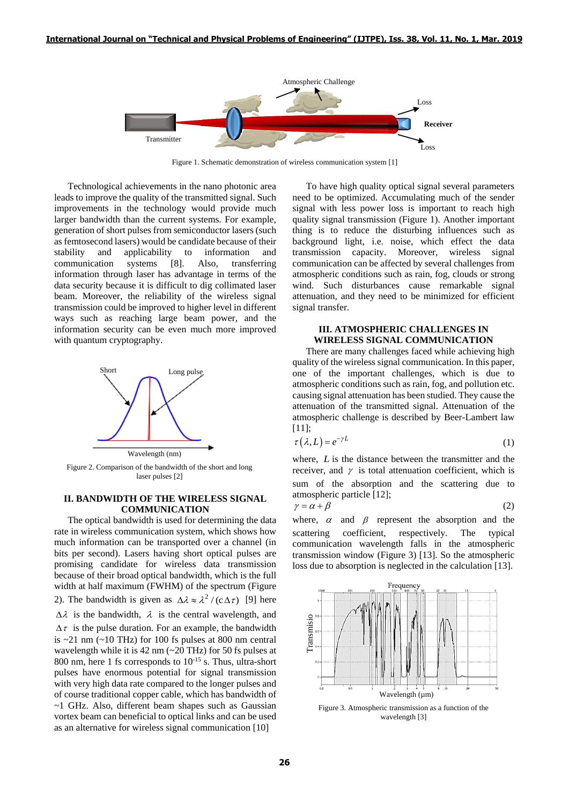

Figure 1. Schematic demonstration of wireless communication system [1]

Technological achievements in the nano photonic area leads to improve the quality of the transmitted signal. Such improvements in the technology would provide much larger bandwidth than the current systems. For example, generation of short pulses from semiconductor lasers (such as femtosecond lasers) would be candidate because of their stability and applicability to information and communication systems [8]. Also, transferring information through laser has advantage in terms of the data security because it is difficult to dig collimated laser beam. Moreover, the reliability of the wireless signal transmission could be improved to higher level in different ways such as reaching large beam power, and the information security can be even much more improved with quantum cryptography.



Figure 2. Comparison of the bandwidth of the short and long laser pulses [2]

# **II. BANDWIDTH OF THE WIRELESS SIGNAL COMMUNICATION**

The optical bandwidth is used for determining the data rate in wireless communication system, which shows how much information can be transported over a channel (in bits per second). Lasers having short optical pulses are promising candidate for wireless data transmission because of their broad optical bandwidth, which is the full width at half maximum (FWHM) of the spectrum (Figure 2). The bandwidth is given as  $\Delta \lambda \approx \lambda^2 / (c \Delta \tau)$  [9] here  $\Delta \lambda$  is the bandwidth,  $\lambda$  is the central wavelength, and  $\Delta \tau$  is the pulse duration. For an example, the bandwidth is  $\sim$ 21 nm ( $\sim$ 10 THz) for 100 fs pulses at 800 nm central wavelength while it is  $42 \text{ nm}$  ( $\sim$  20 THz) for 50 fs pulses at 800 nm, here 1 fs corresponds to  $10^{-15}$  s. Thus, ultra-short pulses have enormous potential for signal transmission with very high data rate compared to the longer pulses and of course traditional copper cable, which has bandwidth of ~1 GHz. Also, different beam shapes such as Gaussian vortex beam can beneficial to optical links and can be used as an alternative for wireless signal communication [10]

To have high quality optical signal several parameters need to be optimized. Accumulating much of the sender signal with less power loss is important to reach high quality signal transmission (Figure 1). Another important thing is to reduce the disturbing influences such as background light, i.e. noise, which effect the data transmission capacity. Moreover, wireless signal Moreover, wireless signal communication can be affected by several challenges from atmospheric conditions such as rain, fog, clouds or strong wind. Such disturbances cause remarkable signal attenuation, and they need to be minimized for efficient signal transfer.

# **III. ATMOSPHERIC CHALLENGES IN WIRELESS SIGNAL COMMUNICATION**

There are many challenges faced while achieving high quality of the wireless signal communication. In this paper, one of the important challenges, which is due to atmospheric conditions such as rain, fog, and pollution etc. causing signal attenuation has been studied. They cause the attenuation of the transmitted signal. Attenuation of the atmospheric challenge is described by Beer-Lambert law [11];

$$
\tau(\lambda, L) = e^{-\gamma L} \tag{1}
$$

where, *<sup>L</sup>* is the distance between the transmitter and the receiver, and  $\gamma$  is total attenuation coefficient, which is sum of the absorption and the scattering due to atmospheric particle [12];

$$
\gamma = \alpha + \beta \tag{2}
$$

where,  $\alpha$  and  $\beta$  represent the absorption and the scattering coefficient, respectively. The typical communication wavelength falls in the atmospheric transmission window (Figure 3) [13]. So the atmospheric loss due to absorption is neglected in the calculation [13].



Figure 3. Atmospheric transmission as a function of the wavelength [3]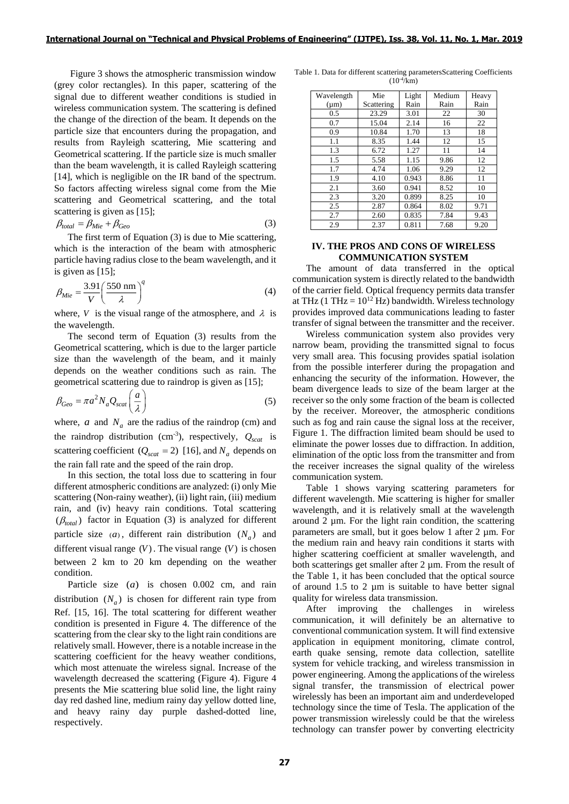Figure 3 shows the atmospheric transmission window (grey color rectangles). In this paper, scattering of the signal due to different weather conditions is studied in wireless communication system. The scattering is defined the change of the direction of the beam. It depends on the particle size that encounters during the propagation, and results from Rayleigh scattering, Mie scattering and Geometrical scattering. If the particle size is much smaller than the beam wavelength, it is called Rayleigh scattering [14], which is negligible on the IR band of the spectrum. So factors affecting wireless signal come from the Mie scattering and Geometrical scattering, and the total scattering is given as [15];

$$
\beta_{total} = \beta_{Mie} + \beta_{Geo} \tag{3}
$$

The first term of Equation (3) is due to Mie scattering, which is the interaction of the beam with atmospheric particle having radius close to the beam wavelength, and it is given as [15];

$$
\beta_{Mie} = \frac{3.91}{V} \left(\frac{550 \text{ nm}}{\lambda}\right)^q \tag{4}
$$

where, *V* is the visual range of the atmosphere, and  $\lambda$  is the wavelength.

The second term of Equation (3) results from the Geometrical scattering, which is due to the larger particle size than the wavelength of the beam, and it mainly depends on the weather conditions such as rain. The geometrical scattering due to raindrop is given as [15];

$$
\beta_{Geo} = \pi a^2 N_a Q_{scat} \left(\frac{a}{\lambda}\right)
$$
\n(5)

where,  $a$  and  $N_a$  are the radius of the raindrop (cm) and the raindrop distribution (cm<sup>-3</sup>), respectively,  $Q_{scat}$  is scattering coefficient ( $Q_{scat} = 2$ ) [16], and  $N_a$  depends on the rain fall rate and the speed of the rain drop.

In this section, the total loss due to scattering in four different atmospheric conditions are analyzed: (i) only Mie scattering (Non-rainy weather), (ii) light rain, (iii) medium rain, and (iv) heavy rain conditions. Total scattering  $(\beta_{total})$  factor in Equation (3) is analyzed for different particle size  $(a)$ , different rain distribution  $(N_a)$  and different visual range  $(V)$ . The visual range  $(V)$  is chosen between 2 km to 20 km depending on the weather condition.

Particle size  $(a)$  is chosen  $0.002$  cm, and rain distribution  $(N_a)$  is chosen for different rain type from Ref. [15, 16]. The total scattering for different weather condition is presented in Figure 4. The difference of the scattering from the clear sky to the light rain conditions are relatively small. However, there is a notable increase in the scattering coefficient for the heavy weather conditions, which most attenuate the wireless signal. Increase of the wavelength decreased the scattering (Figure 4). Figure 4 presents the Mie scattering blue solid line, the light rainy day red dashed line, medium rainy day yellow dotted line, and heavy rainy day purple dashed-dotted line, respectively.

Table 1. Data for different scattering parametersScattering Coefficients  $(10^{-4}$ /km)

| Wavelength | Mie        | Light | Medium | Heavy |
|------------|------------|-------|--------|-------|
| $(\mu m)$  | Scattering | Rain  | Rain   | Rain  |
| 0.5        | 23.29      | 3.01  | 22     | 30    |
| 0.7        | 15.04      | 2.14  | 16     | 22    |
| 0.9        | 10.84      | 1.70  | 13     | 18    |
| 1.1        | 8.35       | 1.44  | 12     | 15    |
| 1.3        | 6.72       | 1.27  | 11     | 14    |
| 1.5        | 5.58       | 1.15  | 9.86   | 12    |
| 1.7        | 4.74       | 1.06  | 9.29   | 12    |
| 1.9        | 4.10       | 0.943 | 8.86   | 11    |
| 2.1        | 3.60       | 0.941 | 8.52   | 10    |
| 2.3        | 3.20       | 0.899 | 8.25   | 10    |
| 2.5        | 2.87       | 0.864 | 8.02   | 9.71  |
| 2.7        | 2.60       | 0.835 | 7.84   | 9.43  |
| 2.9        | 2.37       | 0.811 | 7.68   | 9.20  |

## **IV. THE PROS AND CONS OF WIRELESS COMMUNICATION SYSTEM**

The amount of data transferred in the optical communication system is directly related to the bandwidth of the carrier field. Optical frequency permits data transfer at THz (1 THz =  $10^{12}$  Hz) bandwidth. Wireless technology provides improved data communications leading to faster transfer of signal between the transmitter and the receiver.

Wireless communication system also provides very narrow beam, providing the transmitted signal to focus very small area. This focusing provides spatial isolation from the possible interferer during the propagation and enhancing the security of the information. However, the beam divergence leads to size of the beam larger at the receiver so the only some fraction of the beam is collected by the receiver. Moreover, the atmospheric conditions such as fog and rain cause the signal loss at the receiver, Figure 1. The diffraction limited beam should be used to eliminate the power losses due to diffraction. In addition, elimination of the optic loss from the transmitter and from the receiver increases the signal quality of the wireless communication system.

Table 1 shows varying scattering parameters for different wavelength. Mie scattering is higher for smaller wavelength, and it is relatively small at the wavelength around 2 µm. For the light rain condition, the scattering parameters are small, but it goes below 1 after 2 µm. For the medium rain and heavy rain conditions it starts with higher scattering coefficient at smaller wavelength, and both scatterings get smaller after 2  $\mu$ m. From the result of the Table 1, it has been concluded that the optical source of around 1.5 to 2 µm is suitable to have better signal quality for wireless data transmission.

After improving the challenges in wireless communication, it will definitely be an alternative to conventional communication system. It will find extensive application in equipment monitoring, climate control, earth quake sensing, remote data collection, satellite system for vehicle tracking, and wireless transmission in power engineering. Among the applications of the wireless signal transfer, the transmission of electrical power wirelessly has been an important aim and underdeveloped technology since the time of Tesla. The application of the power transmission wirelessly could be that the wireless technology can transfer power by converting electricity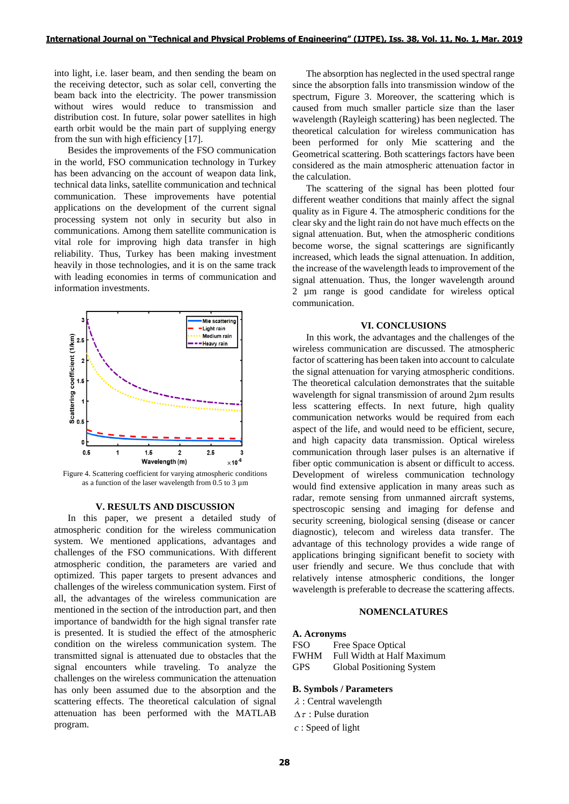into light, i.e. laser beam, and then sending the beam on the receiving detector, such as solar cell, converting the beam back into the electricity. The power transmission without wires would reduce to transmission and distribution cost. In future, solar power satellites in high earth orbit would be the main part of supplying energy from the sun with high efficiency [17].

Besides the improvements of the FSO communication in the world, FSO communication technology in Turkey has been advancing on the account of weapon data link, technical data links, satellite communication and technical communication. These improvements have potential applications on the development of the current signal processing system not only in security but also in communications. Among them satellite communication is vital role for improving high data transfer in high reliability. Thus, Turkey has been making investment heavily in those technologies, and it is on the same track with leading economies in terms of communication and information investments.



Figure 4. Scattering coefficient for varying atmospheric conditions as a function of the laser wavelength from  $0.5$  to  $3 \mu m$ 

## **V. RESULTS AND DISCUSSION**

In this paper, we present a detailed study of atmospheric condition for the wireless communication system. We mentioned applications, advantages and challenges of the FSO communications. With different atmospheric condition, the parameters are varied and optimized. This paper targets to present advances and challenges of the wireless communication system. First of all, the advantages of the wireless communication are mentioned in the section of the introduction part, and then importance of bandwidth for the high signal transfer rate is presented. It is studied the effect of the atmospheric condition on the wireless communication system. The transmitted signal is attenuated due to obstacles that the signal encounters while traveling. To analyze the challenges on the wireless communication the attenuation has only been assumed due to the absorption and the scattering effects. The theoretical calculation of signal attenuation has been performed with the MATLAB program.

The absorption has neglected in the used spectral range since the absorption falls into transmission window of the spectrum, Figure 3. Moreover, the scattering which is caused from much smaller particle size than the laser wavelength (Rayleigh scattering) has been neglected. The theoretical calculation for wireless communication has been performed for only Mie scattering and the Geometrical scattering. Both scatterings factors have been considered as the main atmospheric attenuation factor in the calculation.

The scattering of the signal has been plotted four different weather conditions that mainly affect the signal quality as in Figure 4. The atmospheric conditions for the clear sky and the light rain do not have much effects on the signal attenuation. But, when the atmospheric conditions become worse, the signal scatterings are significantly increased, which leads the signal attenuation. In addition, the increase of the wavelength leads to improvement of the signal attenuation. Thus, the longer wavelength around 2 µm range is good candidate for wireless optical communication.

#### **VI. CONCLUSIONS**

In this work, the advantages and the challenges of the wireless communication are discussed. The atmospheric factor of scattering has been taken into account to calculate the signal attenuation for varying atmospheric conditions. The theoretical calculation demonstrates that the suitable wavelength for signal transmission of around 2µm results less scattering effects. In next future, high quality communication networks would be required from each aspect of the life, and would need to be efficient, secure, and high capacity data transmission. Optical wireless communication through laser pulses is an alternative if fiber optic communication is absent or difficult to access. Development of wireless communication technology would find extensive application in many areas such as radar, remote sensing from unmanned aircraft systems, spectroscopic sensing and imaging for defense and security screening, biological sensing (disease or cancer diagnostic), telecom and wireless data transfer. The advantage of this technology provides a wide range of applications bringing significant benefit to society with user friendly and secure. We thus conclude that with relatively intense atmospheric conditions, the longer wavelength is preferable to decrease the scattering affects.

# **NOMENCLATURES**

#### **A. Acronyms**

FSO Free Space Optical FWHM Full Width at Half Maximum GPS Global Positioning System

#### **B. Symbols / Parameters**

- $\lambda$ : Central wavelength
- $\Delta \tau$ : Pulse duration
- *c* : Speed of light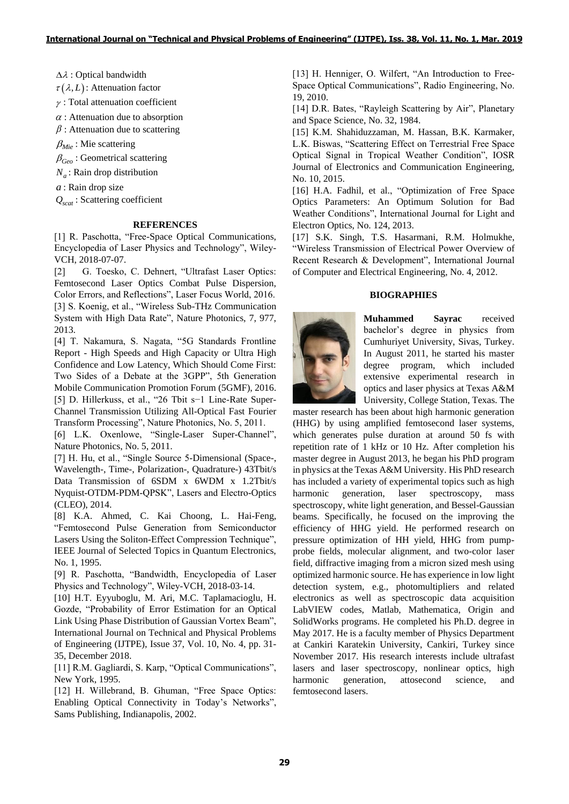$\Delta \lambda$ : Optical bandwidth

 $\tau(\lambda, L)$ : Attenuation factor

 $\gamma$ : Total attenuation coefficient

 $\alpha$ : Attenuation due to absorption

 $\beta$ : Attenuation due to scattering

 $\beta_{Mie}$ : Mie scattering

 $\beta_{Geo}$ : Geometrical scattering

*N<sup>a</sup>* : Rain drop distribution

*a* : Rain drop size

*Qscat* : Scattering coefficient

## **REFERENCES**

[1] R. Paschotta, "Free-Space Optical Communications, Encyclopedia of Laser Physics and Technology", Wiley-VCH, 2018-07-07.

[2] G. Toesko, C. Dehnert, "Ultrafast Laser Optics: Femtosecond Laser Optics Combat Pulse Dispersion, Color Errors, and Reflections", Laser Focus World, 2016. [3] S. Koenig, et al., "Wireless Sub-THz Communication System with High Data Rate", Nature Photonics, 7, 977, 2013.

A2 : Optical bandwidth<br>
2. (2.1): Altenuation factor<br>
2. (2.1): Altenuation factor<br>
2. Total attenuation coefficient<br>
2. Submanitor due to scattering<br> *P<sub>34x</sub>*: Miss scattering<br> *P<sub>34x</sub>*: Miss cantering<br> *P<sub>34x</sub>*: Miss can [4] T. Nakamura, S. Nagata, "5G Standards Frontline Report - High Speeds and High Capacity or Ultra High Confidence and Low Latency, Which Should Come First: Two Sides of a Debate at the 3GPP", 5th Generation Mobile Communication Promotion Forum (5GMF), 2016. [5] D. Hillerkuss, et al., "26 Tbit s−1 Line-Rate Super-Channel Transmission Utilizing All-Optical Fast Fourier Transform Processing", Nature Photonics, No. 5, 2011.

[6] L.K. Oxenlowe, "Single-Laser Super-Channel", Nature Photonics, No. 5, 2011.

[7] H. Hu, et al., "Single Source 5-Dimensional (Space-, Wavelength-, Time-, Polarization-, Quadrature-) 43Tbit/s Data Transmission of 6SDM x 6WDM x 1.2Tbit/s Nyquist-OTDM-PDM-QPSK", Lasers and Electro-Optics (CLEO), 2014.

[8] K.A. Ahmed, C. Kai Choong, L. Hai-Feng, "Femtosecond Pulse Generation from Semiconductor Lasers Using the Soliton-Effect Compression Technique", IEEE Journal of Selected Topics in Quantum Electronics, No. 1, 1995.

[9] R. Paschotta, "Bandwidth, Encyclopedia of Laser Physics and Technology", Wiley-VCH, 2018-03-14.

[10] H.T. Eyyuboglu, M. Ari, M.C. Taplamacioglu, H. Gozde, "Probability of Error Estimation for an Optical Link Using Phase Distribution of Gaussian Vortex Beam", International Journal on Technical and Physical Problems of Engineering (IJTPE), Issue 37, Vol. 10, No. 4, pp. 31- 35, December 2018.

[11] R.M. Gagliardi, S. Karp, "Optical Communications", New York, 1995.

[12] H. Willebrand, B. Ghuman, "Free Space Optics: Enabling Optical Connectivity in Today's Networks", Sams Publishing, Indianapolis, 2002.

[13] H. Henniger, O. Wilfert, "An Introduction to Free-Space Optical Communications", Radio Engineering, No. 19, 2010.

[14] D.R. Bates, "Rayleigh Scattering by Air", Planetary and Space Science, No. 32, 1984.

[15] K.M. Shahiduzzaman, M. Hassan, B.K. Karmaker, L.K. Biswas, "Scattering Effect on Terrestrial Free Space Optical Signal in Tropical Weather Condition", IOSR Journal of Electronics and Communication Engineering, No. 10, 2015.

[16] H.A. Fadhil, et al., "Optimization of Free Space Optics Parameters: An Optimum Solution for Bad Weather Conditions", International Journal for Light and Electron Optics, No. 124, 2013.

[17] S.K. Singh, T.S. Hasarmani, R.M. Holmukhe, "Wireless Transmission of Electrical Power Overview of Recent Research & Development", International Journal of Computer and Electrical Engineering, No. 4, 2012.

# **BIOGRAPHIES**



**Muhammed Sayrac** received bachelor's degree in physics from Cumhuriyet University, Sivas, Turkey. In August 2011, he started his master degree program, which included extensive experimental research in optics and laser physics at Texas A&M University, College Station, Texas. The

master research has been about high harmonic generation (HHG) by using amplified femtosecond laser systems, which generates pulse duration at around 50 fs with repetition rate of 1 kHz or 10 Hz. After completion his master degree in August 2013, he began his PhD program in physics at the Texas A&M University. His PhD research has included a variety of experimental topics such as high harmonic generation, laser spectroscopy, mass spectroscopy, white light generation, and Bessel-Gaussian beams. Specifically, he focused on the improving the efficiency of HHG yield. He performed research on pressure optimization of HH yield, HHG from pumpprobe fields, molecular alignment, and two-color laser field, diffractive imaging from a micron sized mesh using optimized harmonic source. He has experience in low light detection system, e.g., photomultipliers and related electronics as well as spectroscopic data acquisition LabVIEW codes, Matlab, Mathematica, Origin and SolidWorks programs. He completed his Ph.D. degree in May 2017. He is a faculty member of Physics Department at Cankiri Karatekin University, Cankiri, Turkey since November 2017. His research interests include ultrafast lasers and laser spectroscopy, nonlinear optics, high harmonic generation, attosecond science, and femtosecond lasers.